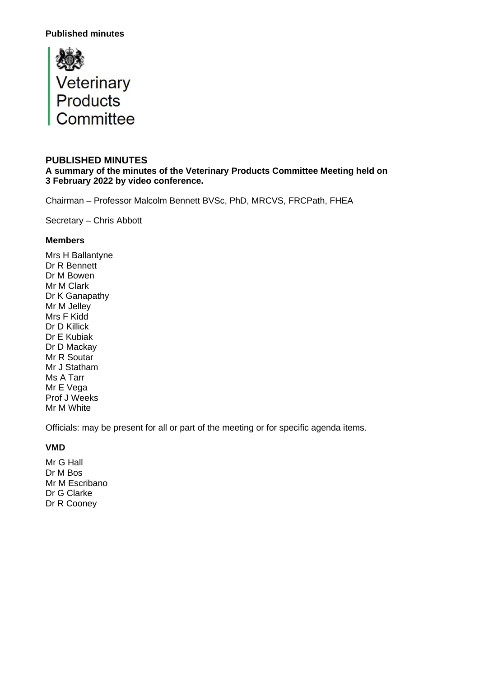

#### **PUBLISHED MINUTES**

**A summary of the minutes of the Veterinary Products Committee Meeting held on 3 February 2022 by video conference.**

Chairman – Professor Malcolm Bennett BVSc, PhD, MRCVS, FRCPath, FHEA

Secretary – Chris Abbott

#### **Members**

Mrs H Ballantyne Dr R Bennett Dr M Bowen Mr M Clark Dr K Ganapathy Mr M Jelley Mrs F Kidd Dr D Killick Dr E Kubiak Dr D Mackay Mr R Soutar Mr J Statham Ms A Tarr Mr E Vega Prof J Weeks Mr M White

Officials: may be present for all or part of the meeting or for specific agenda items.

## **VMD**

Mr G Hall Dr M Bos Mr M Escribano Dr G Clarke Dr R Cooney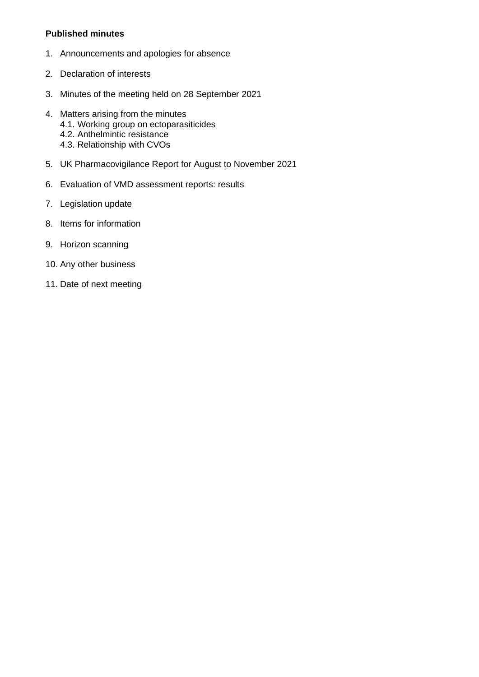- 1. Announcements and apologies for absence
- 2. Declaration of interests
- 3. Minutes of the meeting held on 28 September 2021
- 4. Matters arising from the minutes 4.1. Working group on ectoparasiticides 4.2. Anthelmintic resistance 4.3. Relationship with CVOs
- 5. UK Pharmacovigilance Report for August to November 2021
- 6. Evaluation of VMD assessment reports: results
- 7. Legislation update
- 8. Items for information
- 9. Horizon scanning
- 10. Any other business
- 11. Date of next meeting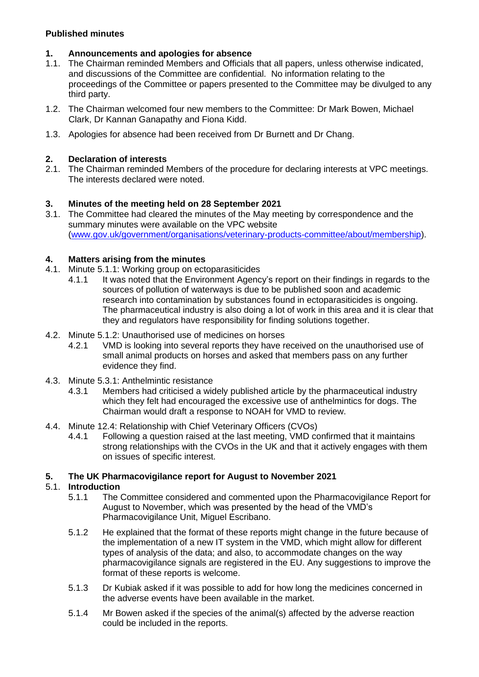# **1. Announcements and apologies for absence**

- 1.1. The Chairman reminded Members and Officials that all papers, unless otherwise indicated, and discussions of the Committee are confidential. No information relating to the proceedings of the Committee or papers presented to the Committee may be divulged to any third party.
- 1.2. The Chairman welcomed four new members to the Committee: Dr Mark Bowen, Michael Clark, Dr Kannan Ganapathy and Fiona Kidd.
- 1.3. Apologies for absence had been received from Dr Burnett and Dr Chang.

# **2. Declaration of interests**

2.1. The Chairman reminded Members of the procedure for declaring interests at VPC meetings. The interests declared were noted.

# **3. Minutes of the meeting held on 28 September 2021**

3.1. The Committee had cleared the minutes of the May meeting by correspondence and the summary minutes were available on the VPC website [\(www.gov.uk/government/organisations/veterinary-products-committee/about/membership\)](http://www.gov.uk/government/organisations/veterinary-products-committee/about/membership).

# **4. Matters arising from the minutes**

- 4.1. Minute 5.1.1: Working group on ectoparasiticides
	- 4.1.1 It was noted that the Environment Agency's report on their findings in regards to the sources of pollution of waterways is due to be published soon and academic research into contamination by substances found in ectoparasiticides is ongoing. The pharmaceutical industry is also doing a lot of work in this area and it is clear that they and regulators have responsibility for finding solutions together.
- 4.2. Minute 5.1.2: Unauthorised use of medicines on horses
	- 4.2.1 VMD is looking into several reports they have received on the unauthorised use of small animal products on horses and asked that members pass on any further evidence they find.
- 4.3. Minute 5.3.1: Anthelmintic resistance
	- 4.3.1 Members had criticised a widely published article by the pharmaceutical industry which they felt had encouraged the excessive use of anthelmintics for dogs. The Chairman would draft a response to NOAH for VMD to review.
- 4.4. Minute 12.4: Relationship with Chief Veterinary Officers (CVOs)<br>4.4.1 Following a question raised at the last meeting. VMD co
	- 4.4.1 Following a question raised at the last meeting, VMD confirmed that it maintains strong relationships with the CVOs in the UK and that it actively engages with them on issues of specific interest.

# **5. The UK Pharmacovigilance report for August to November 2021**

## 5.1. **Introduction**

- 5.1.1 The Committee considered and commented upon the Pharmacovigilance Report for August to November, which was presented by the head of the VMD's Pharmacovigilance Unit, Miguel Escribano.
- 5.1.2 He explained that the format of these reports might change in the future because of the implementation of a new IT system in the VMD, which might allow for different types of analysis of the data; and also, to accommodate changes on the way pharmacovigilance signals are registered in the EU. Any suggestions to improve the format of these reports is welcome.
- 5.1.3 Dr Kubiak asked if it was possible to add for how long the medicines concerned in the adverse events have been available in the market.
- 5.1.4 Mr Bowen asked if the species of the animal(s) affected by the adverse reaction could be included in the reports.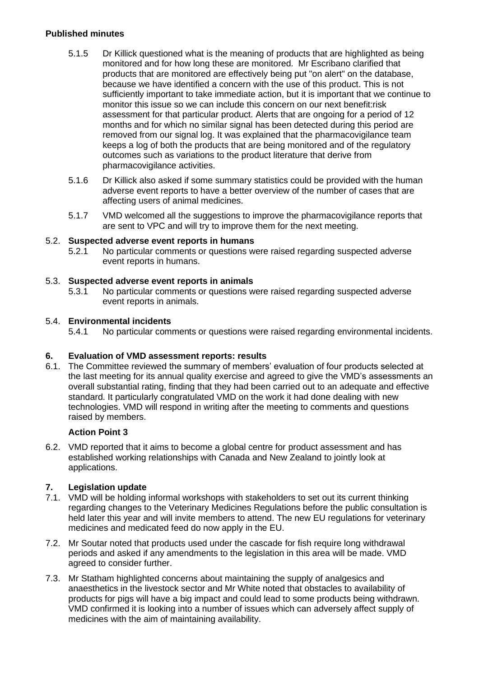- 5.1.5 Dr Killick questioned what is the meaning of products that are highlighted as being monitored and for how long these are monitored. Mr Escribano clarified that products that are monitored are effectively being put "on alert" on the database, because we have identified a concern with the use of this product. This is not sufficiently important to take immediate action, but it is important that we continue to monitor this issue so we can include this concern on our next benefit:risk assessment for that particular product. Alerts that are ongoing for a period of 12 months and for which no similar signal has been detected during this period are removed from our signal log. It was explained that the pharmacovigilance team keeps a log of both the products that are being monitored and of the regulatory outcomes such as variations to the product literature that derive from pharmacovigilance activities.
- 5.1.6 Dr Killick also asked if some summary statistics could be provided with the human adverse event reports to have a better overview of the number of cases that are affecting users of animal medicines.
- 5.1.7 VMD welcomed all the suggestions to improve the pharmacovigilance reports that are sent to VPC and will try to improve them for the next meeting.

### 5.2. **Suspected adverse event reports in humans**

5.2.1 No particular comments or questions were raised regarding suspected adverse event reports in humans.

### 5.3. **Suspected adverse event reports in animals**

5.3.1 No particular comments or questions were raised regarding suspected adverse event reports in animals.

### 5.4. **Environmental incidents**

5.4.1 No particular comments or questions were raised regarding environmental incidents.

#### **6. Evaluation of VMD assessment reports: results**

6.1. The Committee reviewed the summary of members' evaluation of four products selected at the last meeting for its annual quality exercise and agreed to give the VMD's assessments an overall substantial rating, finding that they had been carried out to an adequate and effective standard. It particularly congratulated VMD on the work it had done dealing with new technologies. VMD will respond in writing after the meeting to comments and questions raised by members.

#### **Action Point 3**

6.2. VMD reported that it aims to become a global centre for product assessment and has established working relationships with Canada and New Zealand to jointly look at applications.

# **7. Legislation update**

- 7.1. VMD will be holding informal workshops with stakeholders to set out its current thinking regarding changes to the Veterinary Medicines Regulations before the public consultation is held later this year and will invite members to attend. The new EU regulations for veterinary medicines and medicated feed do now apply in the EU.
- 7.2. Mr Soutar noted that products used under the cascade for fish require long withdrawal periods and asked if any amendments to the legislation in this area will be made. VMD agreed to consider further.
- 7.3. Mr Statham highlighted concerns about maintaining the supply of analgesics and anaesthetics in the livestock sector and Mr White noted that obstacles to availability of products for pigs will have a big impact and could lead to some products being withdrawn. VMD confirmed it is looking into a number of issues which can adversely affect supply of medicines with the aim of maintaining availability.